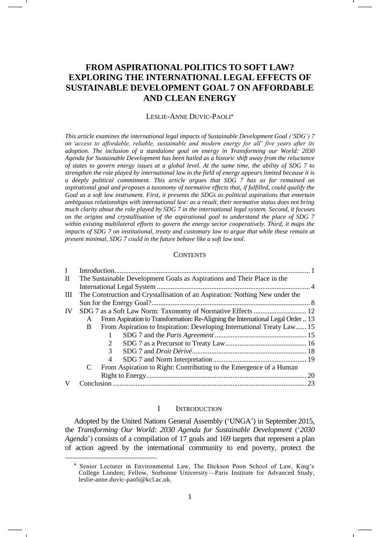# **FROM ASPIRATIONAL POLITICS TO SOFT LAW? EXPLORING THE INTERNATIONAL LEGAL EFFECTS OF SUSTAINABLE DEVELOPMENT GOAL 7 ON AFFORDABLE AND CLEAN ENERGY**

#### LESLIE-ANNE DUVIC-PAOLI

*This article examines the international legal impacts of Sustainable Development Goal ('SDG') 7 on 'access to affordable, reliable, sustainable and modern energy for all' five years after its adoption. The inclusion of a standalone goal on energy in Transforming our World: 2030 Agenda for Sustainable Development has been hailed as a historic shift away from the reluctance of states to govern energy issues at a global level. At the same time, the ability of SDG 7 to strengthen the role played by international law in the field of energy appears limited because it is a deeply political commitment. This article argues that SDG 7 has so far remained an aspirational goal and proposes a taxonomy of normative effects that, if fulfilled, could qualify the Goal as a soft law instrument. First, it presents the SDGs as political aspirations that entertain ambiguous relationships with international law: as a result, their normative status does not bring much clarity about the role played by SDG 7 in the international legal system. Second, it focuses on the origins and crystallisation of the aspirational goal to understand the place of SDG 7 within existing multilateral efforts to govern the energy sector cooperatively. Third, it maps the impacts of SDG 7 on institutional, treaty and customary law to argue that while these remain at present minimal, SDG 7 could in the future behave like a soft law tool.*

#### **CONTENTS**

| $\mathbf I$  |                                                                                       |                                                                    |
|--------------|---------------------------------------------------------------------------------------|--------------------------------------------------------------------|
| $\mathbf{I}$ | The Sustainable Development Goals as Aspirations and Their Place in the               |                                                                    |
|              |                                                                                       |                                                                    |
| Ш            | The Construction and Crystallisation of an Aspiration: Nothing New under the          |                                                                    |
|              |                                                                                       |                                                                    |
| IV           |                                                                                       |                                                                    |
|              | From Aspiration to Transformation: Re-Aligning the International Legal Order  13<br>A |                                                                    |
|              | From Aspiration to Inspiration: Developing International Treaty Law 15<br>B           |                                                                    |
|              |                                                                                       |                                                                    |
|              |                                                                                       |                                                                    |
|              | 3                                                                                     |                                                                    |
|              | 4                                                                                     |                                                                    |
|              | C                                                                                     | From Aspiration to Right: Contributing to the Emergence of a Human |
|              |                                                                                       | 20                                                                 |
|              |                                                                                       | 23                                                                 |

# I INTRODUCTION

Adopted by the United Nations General Assembly ('UNGA') in September 2015, the *Transforming Our World: 2030 Agenda for Sustainable Development* ('*2030 Agenda*') consists of a compilation of 17 goals and 169 targets that represent a plan of action agreed by the international community to end poverty, protect the

Senior Lecturer in Environmental Law, The Dickson Poon School of Law, King's College London; Fellow, Sorbonne University—Paris Institute for Advanced Study, [leslie-anne.duvic-paoli@kcl.ac.uk.](mailto:leslie-anne.duvic-paoli@kcl.ac.uk)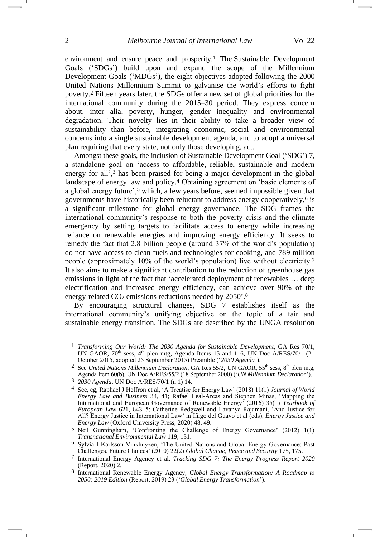<span id="page-1-1"></span><span id="page-1-0"></span>environment and ensure peace and prosperity.<sup>1</sup> The Sustainable Development Goals ('SDGs') build upon and expand the scope of the Millennium Development Goals ('MDGs'), the eight objectives adopted following the 2000 United Nations Millennium Summit to galvanise the world's efforts to fight poverty.<sup>2</sup> Fifteen years later, the SDGs offer a new set of global priorities for the international community during the 2015–30 period. They express concern about, inter alia, poverty, hunger, gender inequality and environmental degradation. Their novelty lies in their ability to take a broader view of sustainability than before, integrating economic, social and environmental concerns into a single sustainable development agenda, and to adopt a universal plan requiring that every state, not only those developing, act.

Amongst these goals, the inclusion of Sustainable Development Goal ('SDG') 7, a standalone goal on 'access to affordable, reliable, sustainable and modern energy for all',<sup>3</sup> has been praised for being a major development in the global landscape of energy law and policy.<sup>4</sup> Obtaining agreement on 'basic elements of a global energy future',<sup>5</sup> which, a few years before, seemed impossible given that governments have historically been reluctant to address energy cooperatively,<sup>6</sup> is a significant milestone for global energy governance. The SDG frames the international community's response to both the poverty crisis and the climate emergency by setting targets to facilitate access to energy while increasing reliance on renewable energies and improving energy efficiency. It seeks to remedy the fact that 2.8 billion people (around 37% of the world's population) do not have access to clean fuels and technologies for cooking, and 789 million people (approximately 10% of the world's population) live without electricity.<sup>7</sup> It also aims to make a significant contribution to the reduction of greenhouse gas emissions in light of the fact that 'accelerated deployment of renewables … deep electrification and increased energy efficiency, can achieve over 90% of the energy-related  $CO<sub>2</sub>$  emissions reductions needed by 2050'.<sup>8</sup>

<span id="page-1-2"></span>By encouraging structural changes, SDG 7 establishes itself as the international community's unifying objective on the topic of a fair and sustainable energy transition. The SDGs are described by the UNGA resolution

<sup>1</sup> *Transforming Our World: The 2030 Agenda for Sustainable Development*, GA Res 70/1, UN GAOR,  $70<sup>th</sup>$  sess,  $4<sup>th</sup>$  plen mtg, Agenda Items 15 and 116, UN Doc A/RES/70/1 (21) October 2015, adopted 25 September 2015) Preamble ('*2030 Agenda*').

<sup>&</sup>lt;sup>2</sup> See *United Nations Millennium Declaration*, GA Res 55/2, UN GAOR, 55<sup>th</sup> sess, 8<sup>th</sup> plen mtg, Agenda Item 60(b), UN Doc A/RES/55/2 (18 September 2000) ('*UN Millennium Declaration*').

<sup>3</sup> *2030 Agenda*, UN Doc A/RES/70/1 (n [1\)](#page-1-0) 14.

<sup>4</sup> See, eg, Raphael J Heffron et al, 'A Treatise for Energy Law' (2018) 11(1) *Journal of World Energy Law and Business* 34, 41; Rafael Leal-Arcas and Stephen Minas, 'Mapping the International and European Governance of Renewable Energy' (2016) 35(1) *Yearbook of European Law* 621, 643–5; Catherine Redgwell and Lavanya Rajamani, 'And Justice for All? Energy Justice in International Law' in Íñigo del Guayo et al (eds), *Energy Justice and Energy Law* (Oxford University Press, 2020) 48, 49.

<sup>5</sup> Neil Gunningham, 'Confronting the Challenge of Energy Governance' (2012) 1(1) *Transnational Environmental Law* 119, 131.

<sup>6</sup> Sylvia I Karlsson-Vinkhuyzen, 'The United Nations and Global Energy Governance: Past Challenges, Future Choices' (2010) 22(2) *Global Change, Peace and Security* 175, 175.

<sup>7</sup> International Energy Agency et al, *Tracking SDG 7: The Energy Progress Report 2020* (Report, 2020) 2.

<sup>8</sup> International Renewable Energy Agency, *Global Energy Transformation: A Roadmap to 2050: 2019 Edition* (Report, 2019) 23 ('*Global Energy Transformation*').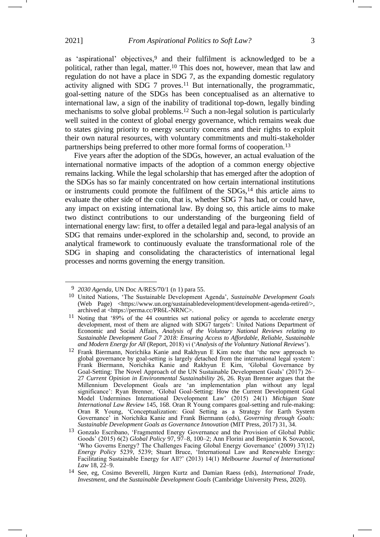<span id="page-2-1"></span>as 'aspirational' objectives, <sup>9</sup> and their fulfilment is acknowledged to be a political, rather than legal, matter.<sup>10</sup> This does not, however, mean that law and regulation do not have a place in SDG 7, as the expanding domestic regulatory activity aligned with SDG  $7$  proves.<sup>11</sup> But internationally, the programmatic, goal-setting nature of the SDGs has been conceptualised as an alternative to international law, a sign of the inability of traditional top-down, legally binding mechanisms to solve global problems.<sup>12</sup> Such a non-legal solution is particularly well suited in the context of global energy governance, which remains weak due to states giving priority to energy security concerns and their rights to exploit their own natural resources, with voluntary commitments and multi-stakeholder partnerships being preferred to other more formal forms of cooperation.<sup>13</sup>

<span id="page-2-2"></span><span id="page-2-0"></span>Five years after the adoption of the SDGs, however, an actual evaluation of the international normative impacts of the adoption of a common energy objective remains lacking. While the legal scholarship that has emerged after the adoption of the SDGs has so far mainly concentrated on how certain international institutions or instruments could promote the fulfilment of the SDGs, <sup>14</sup> this article aims to evaluate the other side of the coin, that is, whether SDG 7 has had, or could have, any impact on existing international law. By doing so, this article aims to make two distinct contributions to our understanding of the burgeoning field of international energy law: first, to offer a detailed legal and para-legal analysis of an SDG that remains under-explored in the scholarship and, second, to provide an analytical framework to continuously evaluate the transformational role of the SDG in shaping and consolidating the characteristics of international legal processes and norms governing the energy transition.

<sup>9</sup> *2030 Agenda*, UN Doc A/RES/70/1 (n [1\)](#page-1-0) para 55.

<sup>10</sup> United Nations, 'The Sustainable Development Agenda', *Sustainable Development Goals* (Web Page) <https://www.un.org/sustainabledevelopment/development-agenda-retired/>, archived at <https://perma.cc/PR6L-NRNC>.

<sup>11</sup> Noting that '89% of the 44 countries set national policy or agenda to accelerate energy development, most of them are aligned with SDG7 targets': United Nations Department of Economic and Social Affairs, *Analysis of the Voluntary National Reviews relating to Sustainable Development Goal 7 2018: Ensuring Access to Affordable, Reliable, Sustainable and Modern Energy for All* (Report, 2018) vi ('*Analysis of the Voluntary National Reviews*').

<sup>12</sup> Frank Biermann, Norichika Kanie and Rakhyun E Kim note that 'the new approach to global governance by goal-setting is largely detached from the international legal system': Frank Biermann, Norichika Kanie and Rakhyun E Kim, 'Global Governance by Goal-Setting: The Novel Approach of the UN Sustainable Development Goals' (2017) 26– 27 *Current Opinion in Environmental Sustainability* 26, 26. Ryan Brenner argues that the Millennium Development Goals are 'an implementation plan without any legal significance': Ryan Brenner, 'Global Goal-Setting: How the Current Development Goal Model Undermines International Development Law' (2015) 24(1) *Michigan State International Law Review* 145, 168. Oran R Young compares goal-setting and rule-making: Oran R Young, 'Conceptualization: Goal Setting as a Strategy for Earth System Governance' in Norichika Kanie and Frank Biermann (eds), *Governing through Goals: Sustainable Development Goals as Governance Innovation* (MIT Press, 2017) 31, 34.

<sup>13</sup> Gonzalo Escribano, 'Fragmented Energy Governance and the Provision of Global Public Goods' (2015) 6(2) *Global Policy* 97, 97–8, 100–2; Ann Florini and Benjamin K Sovacool, 'Who Governs Energy? The Challenges Facing Global Energy Governance' (2009) 37(12) *Energy Policy* 5239, 5239; Stuart Bruce, 'International Law and Renewable Energy: Facilitating Sustainable Energy for All?' (2013) 14(1) *Melbourne Journal of International Law* 18, 22–9.

<sup>14</sup> See, eg, Cosimo Beverelli, Jürgen Kurtz and Damian Raess (eds), *International Trade, Investment, and the Sustainable Development Goals* (Cambridge University Press, 2020).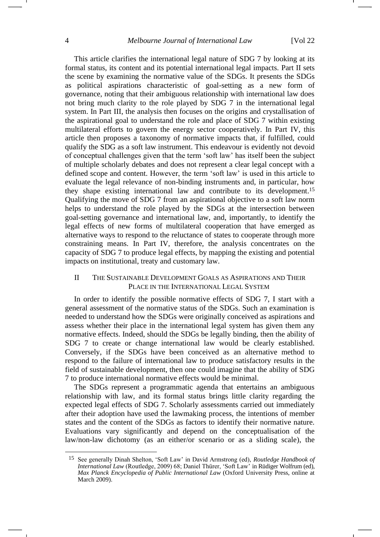This article clarifies the international legal nature of SDG 7 by looking at its formal status, its content and its potential international legal impacts. Part II sets the scene by examining the normative value of the SDGs. It presents the SDGs as political aspirations characteristic of goal-setting as a new form of governance, noting that their ambiguous relationship with international law does not bring much clarity to the role played by SDG 7 in the international legal system. In Part III, the analysis then focuses on the origins and crystallisation of the aspirational goal to understand the role and place of SDG 7 within existing multilateral efforts to govern the energy sector cooperatively. In Part IV, this article then proposes a taxonomy of normative impacts that, if fulfilled, could qualify the SDG as a soft law instrument. This endeavour is evidently not devoid of conceptual challenges given that the term 'soft law' has itself been the subject of multiple scholarly debates and does not represent a clear legal concept with a defined scope and content. However, the term 'soft law' is used in this article to evaluate the legal relevance of non-binding instruments and, in particular, how they shape existing international law and contribute to its development. 15 Qualifying the move of SDG 7 from an aspirational objective to a soft law norm helps to understand the role played by the SDGs at the intersection between goal-setting governance and international law, and, importantly, to identify the legal effects of new forms of multilateral cooperation that have emerged as alternative ways to respond to the reluctance of states to cooperate through more constraining means. In Part IV, therefore, the analysis concentrates on the capacity of SDG 7 to produce legal effects, by mapping the existing and potential impacts on institutional, treaty and customary law.

# <span id="page-3-0"></span>II THE SUSTAINABLE DEVELOPMENT GOALS AS ASPIRATIONS AND THEIR PLACE IN THE INTERNATIONAL LEGAL SYSTEM

In order to identify the possible normative effects of SDG 7, I start with a general assessment of the normative status of the SDGs. Such an examination is needed to understand how the SDGs were originally conceived as aspirations and assess whether their place in the international legal system has given them any normative effects. Indeed, should the SDGs be legally binding, then the ability of SDG 7 to create or change international law would be clearly established. Conversely, if the SDGs have been conceived as an alternative method to respond to the failure of international law to produce satisfactory results in the field of sustainable development, then one could imagine that the ability of SDG 7 to produce international normative effects would be minimal.

The SDGs represent a programmatic agenda that entertains an ambiguous relationship with law, and its formal status brings little clarity regarding the expected legal effects of SDG 7. Scholarly assessments carried out immediately after their adoption have used the lawmaking process, the intentions of member states and the content of the SDGs as factors to identify their normative nature. Evaluations vary significantly and depend on the conceptualisation of the law/non-law dichotomy (as an either/or scenario or as a sliding scale), the

<sup>15</sup> See generally Dinah Shelton, 'Soft Law' in David Armstrong (ed), *Routledge Handbook of International Law* (Routledge, 2009) 68; Daniel Thürer, 'Soft Law' in Rüdiger Wolfrum (ed), *Max Planck Encyclopedia of Public International Law* (Oxford University Press, online at March 2009).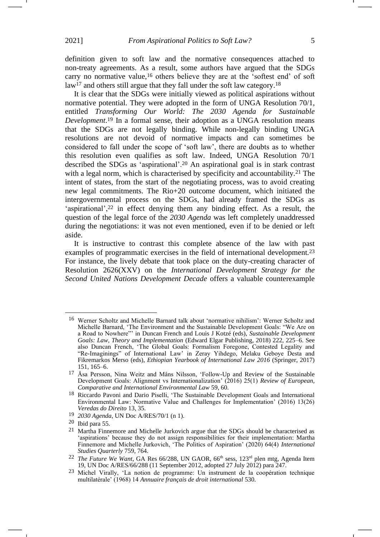<span id="page-4-1"></span>definition given to soft law and the normative consequences attached to non-treaty agreements. As a result, some authors have argued that the SDGs carry no normative value,<sup>16</sup> others believe they are at the 'softest end' of soft law<sup>17</sup> and others still argue that they fall under the soft law category.<sup>18</sup>

It is clear that the SDGs were initially viewed as political aspirations without normative potential. They were adopted in the form of UNGA Resolution 70/1, entitled *Transforming Our World: The 2030 Agenda for Sustainable Development*. <sup>19</sup> In a formal sense, their adoption as a UNGA resolution means that the SDGs are not legally binding. While non-legally binding UNGA resolutions are not devoid of normative impacts and can sometimes be considered to fall under the scope of 'soft law', there are doubts as to whether this resolution even qualifies as soft law. Indeed, UNGA Resolution 70/1 described the SDGs as 'aspirational'.<sup>20</sup> An aspirational goal is in stark contrast with a legal norm, which is characterised by specificity and accountability.<sup>21</sup> The intent of states, from the start of the negotiating process, was to avoid creating new legal commitments. The Rio+20 outcome document, which initiated the intergovernmental process on the SDGs, had already framed the SDGs as 'aspirational',<sup>22</sup> in effect denying them any binding effect. As a result, the question of the legal force of the *2030 Agenda* was left completely unaddressed during the negotiations: it was not even mentioned, even if to be denied or left aside.

<span id="page-4-2"></span>It is instructive to contrast this complete absence of the law with past examples of programmatic exercises in the field of international development.<sup>23</sup> For instance, the lively debate that took place on the duty-creating character of Resolution 2626(XXV) on the *International Development Strategy for the Second United Nations Development Decade* offers a valuable counterexample <span id="page-4-0"></span>-1

<sup>16</sup> Werner Scholtz and Michelle Barnard talk about 'normative nihilism': Werner Scholtz and Michelle Barnard, 'The Environment and the Sustainable Development Goals: "We Are on a Road to Nowhere"' in Duncan French and Louis J Kotzé (eds), *Sustainable Development Goals: Law, Theory and Implementation* (Edward Elgar Publishing, 2018) 222, 225–6. See also Duncan French, 'The Global Goals: Formalism Foregone, Contested Legality and "Re-Imaginings" of International Law' in Zeray Yihdego, Melaku Geboye Desta and Fikremarkos Merso (eds), *Ethiopian Yearbook of International Law 2016* (Springer, 2017) 151, 165–6.

<sup>17</sup> Åsa Persson, Nina Weitz and Måns Nilsson, 'Follow-Up and Review of the Sustainable Development Goals: Alignment vs Internationalization' (2016) 25(1) *Review of European, Comparative and International Environmental Law* 59, 60.

<sup>18</sup> Riccardo Pavoni and Dario Piselli, 'The Sustainable Development Goals and International Environmental Law: Normative Value and Challenges for Implementation' (2016) 13(26) *Veredas do Direito* 13, 35.

<sup>19</sup> *2030 Agenda*, UN Doc A/RES/70/1 (n [1\)](#page-1-0).

<sup>20</sup> Ibid para 55.

<sup>21</sup> Martha Finnemore and Michelle Jurkovich argue that the SDGs should be characterised as 'aspirations' because they do not assign responsibilities for their implementation: Martha Finnemore and Michelle Jurkovich, 'The Politics of Aspiration' (2020) 64(4) *International Studies Quarterly* 759, 764.

<sup>&</sup>lt;sup>22</sup> *The Future We Want*, GA Res 66/288, UN GAOR, 66<sup>th</sup> sess, 123<sup>rd</sup> plen mtg, Agenda Item 19, UN Doc A/RES/66/288 (11 September 2012, adopted 27 July 2012) para 247.

<sup>23</sup> Michel Virally, 'La notion de programme: Un instrument de la coopération technique multilatérale' (1968) 14 *Annuaire français de droit international* 530.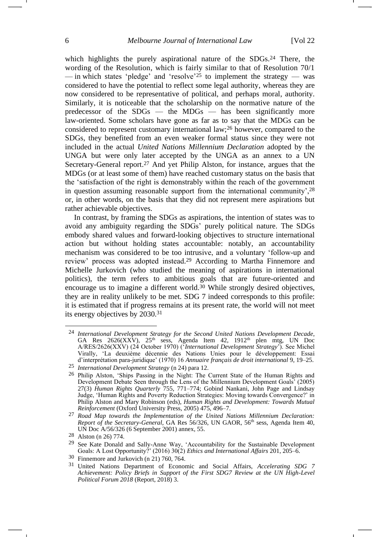<span id="page-5-1"></span><span id="page-5-0"></span>which highlights the purely aspirational nature of the SDGs.<sup>24</sup> There, the wording of the Resolution, which is fairly similar to that of Resolution 70/1 — in which states 'pledge' and 'resolve'<sup>25</sup> to implement the strategy — was considered to have the potential to reflect some legal authority, whereas they are now considered to be representative of political, and perhaps moral, authority. Similarly, it is noticeable that the scholarship on the normative nature of the predecessor of the SDGs — the MDGs — has been significantly more law-oriented. Some scholars have gone as far as to say that the MDGs can be considered to represent customary international law;<sup>26</sup> however, compared to the SDGs, they benefited from an even weaker formal status since they were not included in the actual *United Nations Millennium Declaration* adopted by the UNGA but were only later accepted by the UNGA as an annex to a UN Secretary-General report.<sup>27</sup> And yet Philip Alston, for instance, argues that the MDGs (or at least some of them) have reached customary status on the basis that the 'satisfaction of the right is demonstrably within the reach of the government in question assuming reasonable support from the international community',<sup>28</sup> or, in other words, on the basis that they did not represent mere aspirations but rather achievable objectives.

In contrast, by framing the SDGs as aspirations, the intention of states was to avoid any ambiguity regarding the SDGs' purely political nature. The SDGs embody shared values and forward-looking objectives to structure international action but without holding states accountable: notably, an accountability mechanism was considered to be too intrusive, and a voluntary 'follow-up and review' process was adopted instead. <sup>29</sup> According to Martha Finnemore and Michelle Jurkovich (who studied the meaning of aspirations in international politics), the term refers to ambitious goals that are future-oriented and encourage us to imagine a different world.<sup>30</sup> While strongly desired objectives, they are in reality unlikely to be met. SDG 7 indeed corresponds to this profile: it is estimated that if progress remains at its present rate, the world will not meet its energy objectives by 2030.<sup>31</sup>

<sup>24</sup> *International Development Strategy for the Second United Nations Development Decade*, GA Res  $2626(XX\hat{V})$ ,  $25<sup>th</sup>$  sess, Agenda Item 42,  $1912<sup>th</sup>$  plen mtg, UN Doc A/RES/2626(XXV) (24 October 1970) ('*International Development Strategy*'). See Michel Virally, 'La deuxième décennie des Nations Unies pour le développement: Essai d'interprétation para-juridique' (1970) 16 *Annuaire français de droit international* 9, 19–25.

<sup>25</sup> *International Development Strategy* (n [24\)](#page-5-0) para 12.

<sup>26</sup> Philip Alston, 'Ships Passing in the Night: The Current State of the Human Rights and Development Debate Seen through the Lens of the Millennium Development Goals' (2005) 27(3) *Human Rights Quarterly* 755, 771–774; Gobind Nankani, John Page and Lindsay Judge, 'Human Rights and Poverty Reduction Strategies: Moving towards Convergence?' in Philip Alston and Mary Robinson (eds), *Human Rights and Development: Towards Mutual Reinforcement* (Oxford University Press, 2005) 475, 496–7.

<sup>27</sup> *Road Map towards the Implementation of the United Nations Millennium Declaration: Report of the Secretary-General*, GA Res 56/326, UN GAOR, 56<sup>th</sup> sess, Agenda Item 40, UN Doc A/56/326 (6 September 2001) annex, 55.

<sup>28</sup> Alston (n [26\)](#page-5-1) 774.

<sup>&</sup>lt;sup>29</sup> See Kate Donald and Sally-Anne Way, 'Accountability for the Sustainable Development Goals: A Lost Opportunity?' (2016) 30(2) *Ethics and International Affairs* 201, 205–6.

<sup>30</sup> Finnemore and Jurkovich (n [21\)](#page-4-0) 760, 764.

<sup>31</sup> United Nations Department of Economic and Social Affairs, *Accelerating SDG 7 Achievement: Policy Briefs in Support of the First SDG7 Review at the UN High-Level Political Forum 2018* (Report, 2018) 3.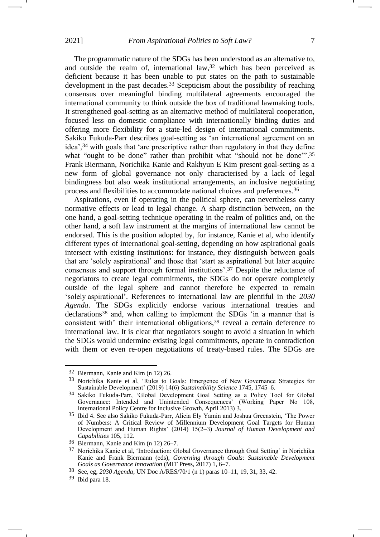The programmatic nature of the SDGs has been understood as an alternative to, and outside the realm of, international law, <sup>32</sup> which has been perceived as deficient because it has been unable to put states on the path to sustainable development in the past decades.<sup>33</sup> Scepticism about the possibility of reaching consensus over meaningful binding multilateral agreements encouraged the international community to think outside the box of traditional lawmaking tools. It strengthened goal-setting as an alternative method of multilateral cooperation, focused less on domestic compliance with internationally binding duties and offering more flexibility for a state-led design of international commitments. Sakiko Fukuda-Parr describes goal-setting as 'an international agreement on an idea',<sup>34</sup> with goals that 'are prescriptive rather than regulatory in that they define what "ought to be done" rather than prohibit what "should not be done".<sup>35</sup> Frank Biermann, Norichika Kanie and Rakhyun E Kim present goal-setting as a new form of global governance not only characterised by a lack of legal bindingness but also weak institutional arrangements, an inclusive negotiating process and flexibilities to accommodate national choices and preferences. 36

Aspirations, even if operating in the political sphere, can nevertheless carry normative effects or lead to legal change. A sharp distinction between, on the one hand, a goal-setting technique operating in the realm of politics and, on the other hand, a soft law instrument at the margins of international law cannot be endorsed. This is the position adopted by, for instance, Kanie et al, who identify different types of international goal-setting, depending on how aspirational goals intersect with existing institutions: for instance, they distinguish between goals that are 'solely aspirational' and those that 'start as aspirational but later acquire consensus and support through formal institutions'.<sup>37</sup> Despite the reluctance of negotiators to create legal commitments, the SDGs do not operate completely outside of the legal sphere and cannot therefore be expected to remain 'solely aspirational'. References to international law are plentiful in the *2030 Agenda*. The SDGs explicitly endorse various international treaties and declarations<sup>38</sup> and, when calling to implement the SDGs 'in a manner that is consistent with' their international obligations,<sup>39</sup> reveal a certain deference to international law. It is clear that negotiators sought to avoid a situation in which the SDGs would undermine existing legal commitments, operate in contradiction with them or even re-open negotiations of treaty-based rules. The SDGs are

39 Ibid para 18.

<sup>32</sup> Biermann, Kanie and Kim (n [12\)](#page-2-0) 26.

<sup>33</sup> Norichika Kanie et al, 'Rules to Goals: Emergence of New Governance Strategies for Sustainable Development' (2019) 14(6) *Sustainability Science* 1745, 1745–6.

<sup>34</sup> Sakiko Fukuda-Parr, 'Global Development Goal Setting as a Policy Tool for Global Governance: Intended and Unintended Consequences' (Working Paper No 108, International Policy Centre for Inclusive Growth, April 2013) 3.

<sup>35</sup> Ibid 4. See also Sakiko Fukuda-Parr, Alicia Ely Yamin and Joshua Greenstein, 'The Power of Numbers: A Critical Review of Millennium Development Goal Targets for Human Development and Human Rights' (2014) 15(2–3) *Journal of Human Development and Capabilities* 105, 112.

<sup>36</sup> Biermann, Kanie and Kim (n [12\)](#page-2-0) 26–7.

<sup>&</sup>lt;sup>37</sup> Norichika Kanie et al, 'Introduction: Global Governance through Goal Setting' in Norichika Kanie and Frank Biermann (eds), *Governing through Goals: Sustainable Development Goals as Governance Innovation* (MIT Press, 2017) 1, 6–7.

<sup>38</sup> See, eg, *2030 Agenda*, UN Doc A/RES/70/1 (n [1\)](#page-1-0) paras 10–11, 19, 31, 33, 42.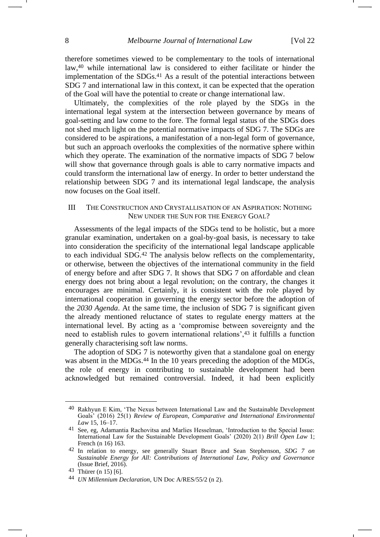<span id="page-7-0"></span>therefore sometimes viewed to be complementary to the tools of international law, <sup>40</sup> while international law is considered to either facilitate or hinder the implementation of the SDGs. <sup>41</sup> As a result of the potential interactions between SDG 7 and international law in this context, it can be expected that the operation of the Goal will have the potential to create or change international law.

Ultimately, the complexities of the role played by the SDGs in the international legal system at the intersection between governance by means of goal-setting and law come to the fore. The formal legal status of the SDGs does not shed much light on the potential normative impacts of SDG 7. The SDGs are considered to be aspirations, a manifestation of a non-legal form of governance, but such an approach overlooks the complexities of the normative sphere within which they operate. The examination of the normative impacts of SDG 7 below will show that governance through goals is able to carry normative impacts and could transform the international law of energy. In order to better understand the relationship between SDG 7 and its international legal landscape, the analysis now focuses on the Goal itself.

#### III THE CONSTRUCTION AND CRYSTALLISATION OF AN ASPIRATION: NOTHING NEW UNDER THE SUN FOR THE ENERGY GOAL?

Assessments of the legal impacts of the SDGs tend to be holistic, but a more granular examination, undertaken on a goal-by-goal basis, is necessary to take into consideration the specificity of the international legal landscape applicable to each individual SDG. <sup>42</sup> The analysis below reflects on the complementarity, or otherwise, between the objectives of the international community in the field of energy before and after SDG 7. It shows that SDG 7 on affordable and clean energy does not bring about a legal revolution; on the contrary, the changes it encourages are minimal. Certainly, it is consistent with the role played by international cooperation in governing the energy sector before the adoption of the *2030 Agenda*. At the same time, the inclusion of SDG 7 is significant given the already mentioned reluctance of states to regulate energy matters at the international level. By acting as a 'compromise between sovereignty and the need to establish rules to govern international relations',<sup>43</sup> it fulfills a function generally characterising soft law norms.

The adoption of SDG 7 is noteworthy given that a standalone goal on energy was absent in the MDGs.<sup>44</sup> In the 10 years preceding the adoption of the MDGs, the role of energy in contributing to sustainable development had been acknowledged but remained controversial. Indeed, it had been explicitly

<sup>40</sup> Rakhyun E Kim, 'The Nexus between International Law and the Sustainable Development Goals' (2016) 25(1) *Review of European, Comparative and International Environmental Law* 15, 16–17.

<sup>41</sup> See, eg, Adamantia Rachovitsa and Marlies Hesselman, 'Introduction to the Special Issue: International Law for the Sustainable Development Goals' (2020) 2(1) *Brill Open Law* 1; French (n [16\)](#page-4-1) 163.

<sup>42</sup> In relation to energy, see generally Stuart Bruce and Sean Stephenson, *SDG 7 on Sustainable Energy for All: Contributions of International Law, Policy and Governance* (Issue Brief, 2016).

<sup>43</sup> Thürer (n [15\)](#page-3-0) [6].

<sup>44</sup> *UN Millennium Declaration*, UN Doc A/RES/55/2 (n [2\)](#page-1-1).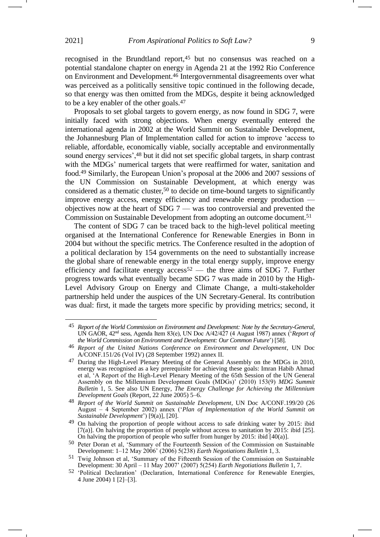recognised in the Brundtland report,<sup>45</sup> but no consensus was reached on a potential standalone chapter on energy in Agenda 21 at the 1992 Rio Conference on Environment and Development.<sup>46</sup> Intergovernmental disagreements over what was perceived as a politically sensitive topic continued in the following decade, so that energy was then omitted from the MDGs, despite it being acknowledged to be a key enabler of the other goals.<sup>47</sup>

Proposals to set global targets to govern energy, as now found in SDG 7, were initially faced with strong objections. When energy eventually entered the international agenda in 2002 at the World Summit on Sustainable Development, the Johannesburg Plan of Implementation called for action to improve 'access to reliable, affordable, economically viable, socially acceptable and environmentally sound energy services', <sup>48</sup> but it did not set specific global targets, in sharp contrast with the MDGs' numerical targets that were reaffirmed for water, sanitation and food.<sup>49</sup> Similarly, the European Union's proposal at the 2006 and 2007 sessions of the UN Commission on Sustainable Development, at which energy was considered as a thematic cluster,<sup>50</sup> to decide on time-bound targets to significantly improve energy access, energy efficiency and renewable energy production objectives now at the heart of SDG 7 — was too controversial and prevented the Commission on Sustainable Development from adopting an outcome document.<sup>51</sup>

The content of SDG 7 can be traced back to the high-level political meeting organised at the International Conference for Renewable Energies in Bonn in 2004 but without the specific metrics. The Conference resulted in the adoption of a political declaration by 154 governments on the need to substantially increase the global share of renewable energy in the total energy supply, improve energy efficiency and facilitate energy access<sup>52</sup> — the three aims of SDG 7. Further progress towards what eventually became SDG 7 was made in 2010 by the High-Level Advisory Group on Energy and Climate Change, a multi-stakeholder partnership held under the auspices of the UN Secretary-General. Its contribution was dual: first, it made the targets more specific by providing metrics; second, it

<sup>45</sup> *Report of the World Commission on Environment and Development: Note by the Secretary-General*, UN GAOR, 42nd sess, Agenda Item 83(e), UN Doc A/42/427 (4 August 1987) annex ('*Report of the World Commission on Environment and Development: Our Common Future*') [58].

<sup>46</sup> *Report of the United Nations Conference on Environment and Development*, UN Doc A/CONF.151/26 (Vol IV) (28 September 1992) annex II.

<sup>47</sup> During the High-Level Plenary Meeting of the General Assembly on the MDGs in 2010, energy was recognised as a key prerequisite for achieving these goals: Imran Habib Ahmad et al, 'A Report of the High-Level Plenary Meeting of the 65th Session of the UN General Assembly on the Millennium Development Goals (MDGs)' (2010) 153(9) *MDG Summit Bulletin* 1, 5. See also UN Energy, *The Energy Challenge for Achieving the Millennium Development Goals* (Report, 22 June 2005) 5–6.

<sup>48</sup> *Report of the World Summit on Sustainable Development*, UN Doc A/CONF.199/20 (26 August – 4 September 2002) annex ('*Plan of Implementation of the World Summit on Sustainable Development*') [9(a)], [20].

<sup>49</sup> On halving the proportion of people without access to safe drinking water by 2015: ibid [7(a)]. On halving the proportion of people without access to sanitation by 2015: ibid [25]. On halving the proportion of people who suffer from hunger by 2015: ibid [40(a)].

<sup>50</sup> Peter Doran et al, 'Summary of the Fourteenth Session of the Commission on Sustainable Development: 1–12 May 2006' (2006) 5(238) *Earth Negotiations Bulletin* 1, 3.

<sup>51</sup> Twig Johnson et al, 'Summary of the Fifteenth Session of the Commission on Sustainable Development: 30 April – 11 May 2007' (2007) 5(254) *Earth Negotiations Bulletin* 1, 7.

<sup>52</sup> 'Political Declaration' (Declaration, International Conference for Renewable Energies, 4 June 2004) 1 [2]–[3].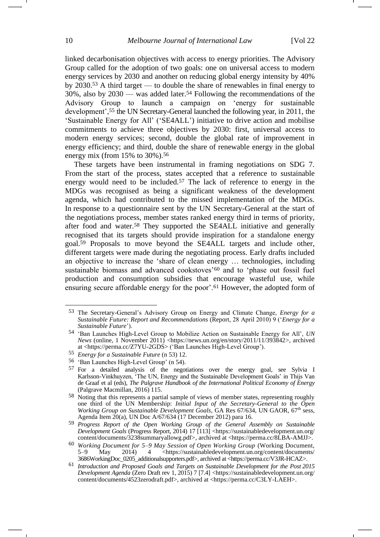<span id="page-9-1"></span><span id="page-9-0"></span>linked decarbonisation objectives with access to energy priorities. The Advisory Group called for the adoption of two goals: one on universal access to modern energy services by 2030 and another on reducing global energy intensity by 40% by 2030.<sup>53</sup> A third target — to double the share of renewables in final energy to 30%, also by 2030 — was added later.<sup>54</sup> Following the recommendations of the Advisory Group to launch a campaign on 'energy for sustainable development',<sup>55</sup> the UN Secretary-General launched the following year, in 2011, the 'Sustainable Energy for All' ('SE4ALL') initiative to drive action and mobilise commitments to achieve three objectives by 2030: first, universal access to modern energy services; second, double the global rate of improvement in energy efficiency; and third, double the share of renewable energy in the global energy mix (from  $15\%$  to  $30\%$ ).<sup>56</sup>

<span id="page-9-2"></span>These targets have been instrumental in framing negotiations on SDG 7. From the start of the process, states accepted that a reference to sustainable energy would need to be included.<sup>57</sup> The lack of reference to energy in the MDGs was recognised as being a significant weakness of the development agenda, which had contributed to the missed implementation of the MDGs. In response to a questionnaire sent by the UN Secretary-General at the start of the negotiations process, member states ranked energy third in terms of priority, after food and water.<sup>58</sup> They supported the SE4ALL initiative and generally recognised that its targets should provide inspiration for a standalone energy goal.<sup>59</sup> Proposals to move beyond the SE4ALL targets and include other, different targets were made during the negotiating process. Early drafts included an objective to increase the 'share of clean energy … technologies, including sustainable biomass and advanced cookstoves'<sup>60</sup> and to 'phase out fossil fuel production and consumption subsidies that encourage wasteful use, while ensuring secure affordable energy for the poor'.<sup>61</sup> However, the adopted form of

<sup>53</sup> The Secretary-General's Advisory Group on Energy and Climate Change, *Energy for a Sustainable Future: Report and Recommendations* (Report, 28 April 2010) 9 ('*Energy for a Sustainable Future*').

<sup>54</sup> 'Ban Launches High-Level Group to Mobilize Action on Sustainable Energy for All', *UN News* (online, 1 November 2011) [<https://news.un.org/en/story/2011/11/393842>](https://news.un.org/en/story/2011/11/393842), archived at <https://perma.cc/Z7YU-2GDS> ('Ban Launches High-Level Group').

<sup>55</sup> *Energy for a Sustainable Future* ([n 53\)](#page-9-0) 12.

<sup>56 &#</sup>x27;Ban Launches High-Level Group' (n [54\)](#page-9-1).<br>57 For a detailed analysis of the negot

<sup>&</sup>lt;sup>57</sup> For a detailed analysis of the negotiations over the energy goal, see Sylvia I Karlsson-Vinkhuyzen, 'The UN, Energy and the Sustainable Development Goals' in Thijs Van de Graaf et al (eds), *The Palgrave Handbook of the International Political Economy of Energy* (Palgrave Macmillan, 2016) 115.

<sup>58</sup> Noting that this represents a partial sample of views of member states, representing roughly one third of the UN Membership: *Initial Input of the Secretary-General to the Open Working Group on Sustainable Development Goals*, GA Res 67/634, UN GAOR, 67<sup>th</sup> sess, Agenda Item 20(a), UN Doc A/67/634 (17 December 2012) para 16.

<sup>59</sup> *Progress Report of the Open Working Group of the General Assembly on Sustainable Development Goals* (Progress Report, 2014) 17 [113] <https://sustainabledevelopment.un.org/ content/documents/3238summaryallowg.pdf>, archived at <https://perma.cc/8LBA-AMJJ>.

<sup>60</sup> *Working Document for 5–9 May Session of Open Working Group* (Working Document, May 2014) 4 <https://sustainabledevelopment.un.org/content/documents/ 3686WorkingDoc\_0205\_additionalsupporters.pdf>, archived at <https://perma.cc/V3JR-HCAZ>.

<sup>61</sup> *Introduction and Proposed Goals and Targets on Sustainable Development for the Post 2015 Development Agenda* (Zero Draft rev 1, 2015) 7 [7.4] <https://sustainabledevelopment.un.org/ content/documents/4523zerodraft.pdf>, archived at <https://perma.cc/C3LY-LAEH>.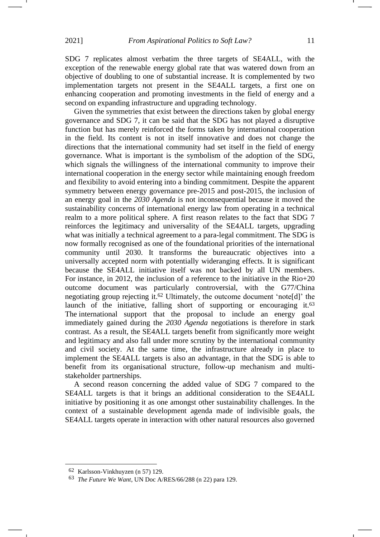SDG 7 replicates almost verbatim the three targets of SE4ALL, with the exception of the renewable energy global rate that was watered down from an objective of doubling to one of substantial increase. It is complemented by two implementation targets not present in the SE4ALL targets, a first one on enhancing cooperation and promoting investments in the field of energy and a second on expanding infrastructure and upgrading technology.

Given the symmetries that exist between the directions taken by global energy governance and SDG 7, it can be said that the SDG has not played a disruptive function but has merely reinforced the forms taken by international cooperation in the field. Its content is not in itself innovative and does not change the directions that the international community had set itself in the field of energy governance. What is important is the symbolism of the adoption of the SDG, which signals the willingness of the international community to improve their international cooperation in the energy sector while maintaining enough freedom and flexibility to avoid entering into a binding commitment. Despite the apparent symmetry between energy governance pre-2015 and post-2015, the inclusion of an energy goal in the *2030 Agenda* is not inconsequential because it moved the sustainability concerns of international energy law from operating in a technical realm to a more political sphere. A first reason relates to the fact that SDG 7 reinforces the legitimacy and universality of the SE4ALL targets, upgrading what was initially a technical agreement to a para-legal commitment. The SDG is now formally recognised as one of the foundational priorities of the international community until 2030. It transforms the bureaucratic objectives into a universally accepted norm with potentially wideranging effects. It is significant because the SE4ALL initiative itself was not backed by all UN members. For instance, in 2012, the inclusion of a reference to the initiative in the Rio+20 outcome document was particularly controversial, with the G77/China negotiating group rejecting it. <sup>62</sup> Ultimately, the outcome document 'note[d]' the launch of the initiative, falling short of supporting or encouraging it.<sup>63</sup> The international support that the proposal to include an energy goal immediately gained during the *2030 Agenda* negotiations is therefore in stark contrast. As a result, the SE4ALL targets benefit from significantly more weight and legitimacy and also fall under more scrutiny by the international community and civil society. At the same time, the infrastructure already in place to implement the SE4ALL targets is also an advantage, in that the SDG is able to benefit from its organisational structure, follow-up mechanism and multistakeholder partnerships.

A second reason concerning the added value of SDG 7 compared to the SE4ALL targets is that it brings an additional consideration to the SE4ALL initiative by positioning it as one amongst other sustainability challenges. In the context of a sustainable development agenda made of indivisible goals, the SE4ALL targets operate in interaction with other natural resources also governed

<sup>62</sup> Karlsson-Vinkhuyzen (n [57\)](#page-9-2) 129.

<sup>63</sup> *The Future We Want*, UN Doc A/RES/66/288 (n [22\)](#page-4-2) para 129.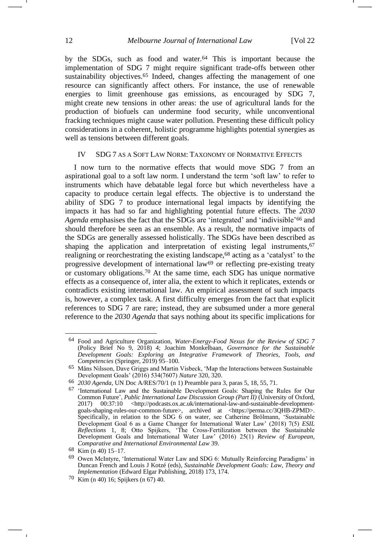<span id="page-11-1"></span>by the SDGs, such as food and water.<sup>64</sup> This is important because the implementation of SDG 7 might require significant trade-offs between other sustainability objectives.<sup>65</sup> Indeed, changes affecting the management of one resource can significantly affect others. For instance, the use of renewable energies to limit greenhouse gas emissions, as encouraged by SDG 7, might create new tensions in other areas: the use of agricultural lands for the production of biofuels can undermine food security, while unconventional fracking techniques might cause water pollution. Presenting these difficult policy considerations in a coherent, holistic programme highlights potential synergies as well as tensions between different goals.

#### <span id="page-11-0"></span>IV SDG 7 AS A SOFT LAW NORM: TAXONOMY OF NORMATIVE EFFECTS

I now turn to the normative effects that would move SDG 7 from an aspirational goal to a soft law norm. I understand the term 'soft law' to refer to instruments which have debatable legal force but which nevertheless have a capacity to produce certain legal effects. The objective is to understand the ability of SDG 7 to produce international legal impacts by identifying the impacts it has had so far and highlighting potential future effects. The *2030 Agenda* emphasises the fact that the SDGs are 'integrated' and 'indivisible'<sup>66</sup> and should therefore be seen as an ensemble. As a result, the normative impacts of the SDGs are generally assessed holistically. The SDGs have been described as shaping the application and interpretation of existing legal instruments,<sup>67</sup> realigning or reorchestrating the existing landscape,<sup>68</sup> acting as a 'catalyst' to the progressive development of international  $law<sup>69</sup>$  or reflecting pre-existing treaty or customary obligations.<sup>70</sup> At the same time, each SDG has unique normative effects as a consequence of, inter alia, the extent to which it replicates, extends or contradicts existing international law. An empirical assessment of such impacts is, however, a complex task. A first difficulty emerges from the fact that explicit references to SDG 7 are rare; instead, they are subsumed under a more general reference to the *2030 Agenda* that says nothing about its specific implications for

<sup>64</sup> Food and Agriculture Organization, *Water-Energy-Food Nexus for the Review of SDG 7* (Policy Brief No 9, 2018) 4; Joachim Monkelbaan, *Governance for the Sustainable Development Goals: Exploring an Integrative Framework of Theories, Tools, and Competencies* (Springer, 2019) 95–100.

<sup>65</sup> Måns Nilsson, Dave Griggs and Martin Visbeck, 'Map the Interactions between Sustainable Development Goals' (2016) 534(7607) *Nature* 320, 320.

<sup>66</sup> *2030 Agenda*, UN Doc A/RES/70/1 (n [1\)](#page-1-0) Preamble para 3, paras 5, 18, 55, 71.

<sup>67</sup> 'International Law and the Sustainable Development Goals: Shaping the Rules for Our Common Future', *Public International Law Discussion Group (Part II)* (University of Oxford, 2017) 00:37:10 <http://podcasts.ox.ac.uk/international-law-and-sustainable-developmentgoals-shaping-rules-our-common-future>, archived at <https://perma.cc/3QHB-ZPMD>. Specifically, in relation to the SDG 6 on water, see Catherine Brölmann, 'Sustainable Development Goal 6 as a Game Changer for International Water Law' (2018) 7(5) *ESIL Reflections* 1, 8; Otto Spijkers, 'The Cross-Fertilization between the Sustainable Development Goals and International Water Law' (2016) 25(1) *Review of European, Comparative and International Environmental Law* 39.

<sup>68</sup> Kim (n [40\)](#page-7-0) 15–17.

<sup>69</sup> Owen McIntyre, 'International Water Law and SDG 6: Mutually Reinforcing Paradigms' in Duncan French and Louis J Kotzé (eds), *Sustainable Development Goals: Law, Theory and Implementation* (Edward Elgar Publishing, 2018) 173, 174.

<sup>70</sup> Kim (n [40\)](#page-7-0) 16; Spijkers (n [67\)](#page-11-0) 40.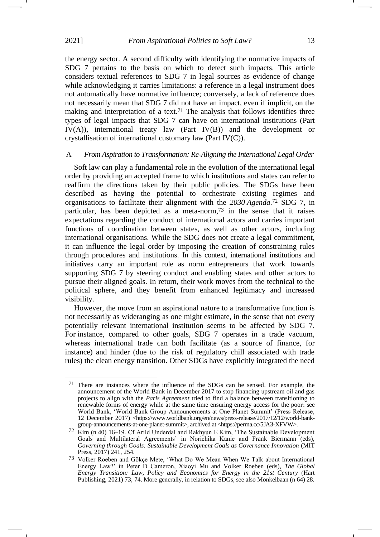the energy sector. A second difficulty with identifying the normative impacts of SDG 7 pertains to the basis on which to detect such impacts. This article considers textual references to SDG 7 in legal sources as evidence of change while acknowledging it carries limitations: a reference in a legal instrument does not automatically have normative influence; conversely, a lack of reference does not necessarily mean that SDG 7 did not have an impact, even if implicit, on the making and interpretation of a text.<sup>71</sup> The analysis that follows identifies three types of legal impacts that SDG 7 can have on international institutions (Part IV(A)), international treaty law (Part IV(B)) and the development or crystallisation of international customary law (Part IV(C)).

#### A *From Aspiration to Transformation: Re-Aligning the International Legal Order*

Soft law can play a fundamental role in the evolution of the international legal order by providing an accepted frame to which institutions and states can refer to reaffirm the directions taken by their public policies. The SDGs have been described as having the potential to orchestrate existing regimes and organisations to facilitate their alignment with the *2030 Agenda*. <sup>72</sup> SDG 7, in particular, has been depicted as a meta-norm,<sup>73</sup> in the sense that it raises expectations regarding the conduct of international actors and carries important functions of coordination between states, as well as other actors, including international organisations. While the SDG does not create a legal commitment, it can influence the legal order by imposing the creation of constraining rules through procedures and institutions. In this context, international institutions and initiatives carry an important role as norm entrepreneurs that work towards supporting SDG 7 by steering conduct and enabling states and other actors to pursue their aligned goals. In return, their work moves from the technical to the political sphere, and they benefit from enhanced legitimacy and increased visibility.

However, the move from an aspirational nature to a transformative function is not necessarily as wideranging as one might estimate, in the sense that not every potentially relevant international institution seems to be affected by SDG 7. For instance, compared to other goals, SDG 7 operates in a trade vacuum, whereas international trade can both facilitate (as a source of finance, for instance) and hinder (due to the risk of regulatory chill associated with trade rules) the clean energy transition. Other SDGs have explicitly integrated the need

<sup>71</sup> There are instances where the influence of the SDGs can be sensed. For example, the announcement of the World Bank in December 2017 to stop financing upstream oil and gas projects to align with the *Paris Agreement* tried to find a balance between transitioning to renewable forms of energy while at the same time ensuring energy access for the poor: see World Bank, 'World Bank Group Announcements at One Planet Summit' (Press Release, 12 December 2017) <https://www.worldbank.org/en/news/press-release/2017/12/12/world-bankgroup-announcements-at-one-planet-summit>, archived at <https://perma.cc/5JA3-XFVW>.

<sup>72</sup> Kim (n [40\)](#page-7-0) 16–19. Cf Arild Underdal and Rakhyun E Kim, 'The Sustainable Development Goals and Multilateral Agreements' in Norichika Kanie and Frank Biermann (eds), *Governing through Goals: Sustainable Development Goals as Governance Innovation* (MIT Press, 2017) 241, 254.

<sup>73</sup> Volker Roeben and Gökçe Mete, 'What Do We Mean When We Talk about International Energy Law?' in Peter D Cameron, Xiaoyi Mu and Volker Roeben (eds), *The Global Energy Transition: Law, Policy and Economics for Energy in the 21st Century* (Hart Publishing, 2021) 73, 74. More generally, in relation to SDGs, see also Monkelbaan (n [64\)](#page-11-1) 28.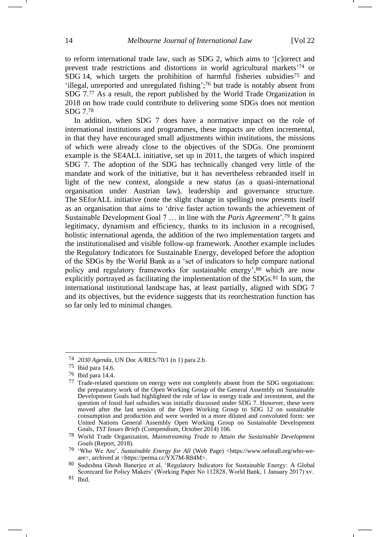to reform international trade law, such as SDG 2, which aims to '[c]orrect and prevent trade restrictions and distortions in world agricultural markets' <sup>74</sup> or SDG 14, which targets the prohibition of harmful fisheries subsidies<sup>75</sup> and 'illegal, unreported and unregulated fishing'; <sup>76</sup> but trade is notably absent from SDG 7.<sup>77</sup> As a result, the report published by the World Trade Organization in 2018 on how trade could contribute to delivering some SDGs does not mention SDG 7.<sup>78</sup>

In addition, when SDG 7 does have a normative impact on the role of international institutions and programmes, these impacts are often incremental, in that they have encouraged small adjustments within institutions, the missions of which were already close to the objectives of the SDGs. One prominent example is the SE4ALL initiative, set up in 2011, the targets of which inspired SDG 7. The adoption of the SDG has technically changed very little of the mandate and work of the initiative, but it has nevertheless rebranded itself in light of the new context, alongside a new status (as a quasi-international organisation under Austrian law), leadership and governance structure. The SEforALL initiative (note the slight change in spelling) now presents itself as an organisation that aims to 'drive faster action towards the achievement of Sustainable Development Goal 7 … in line with the *Paris Agreement*'. <sup>79</sup> It gains legitimacy, dynamism and efficiency, thanks to its inclusion in a recognised, holistic international agenda, the addition of the two implementation targets and the institutionalised and visible follow-up framework. Another example includes the Regulatory Indicators for Sustainable Energy, developed before the adoption of the SDGs by the World Bank as a 'set of indicators to help compare national policy and regulatory frameworks for sustainable energy', <sup>80</sup> which are now explicitly portrayed as facilitating the implementation of the SDGs.<sup>81</sup> In sum, the international institutional landscape has, at least partially, aligned with SDG 7 and its objectives, but the evidence suggests that its reorchestration function has so far only led to minimal changes.

<sup>74</sup> *2030 Agenda*, UN Doc A/RES/70/1 (n [1\)](#page-1-0) para 2.b.

<sup>75</sup> Ibid para 14.6.

<sup>76</sup> Ibid para 14.4.

<sup>77</sup> Trade-related questions on energy were not completely absent from the SDG negotiations: the preparatory work of the Open Working Group of the General Assembly on Sustainable Development Goals had highlighted the role of law in energy trade and investment, and the question of fossil fuel subsidies was initially discussed under SDG 7. However, these were moved after the last session of the Open Working Group to SDG 12 on sustainable consumption and production and were worded in a more diluted and convoluted form: see United Nations General Assembly Open Working Group on Sustainable Development Goals, *TST Issues Briefs* (Compendium, October 2014) 106.

<sup>78</sup> World Trade Organization, *Mainstreaming Trade to Attain the Sustainable Development Goals* (Report, 2018).

<sup>79</sup> 'Who We Are', *Sustainable Energy for All* (Web Page) <https://www.seforall.org/who-weare>, archived at <https://perma.cc/YX7M-R84M>.

<sup>80</sup> Sudeshna Ghosh Banerjee et al, 'Regulatory Indicators for Sustainable Energy: A Global Scorecard for Policy Makers' (Working Paper No 112828, World Bank, 1 January 2017) xv.

<sup>81</sup> Ibid.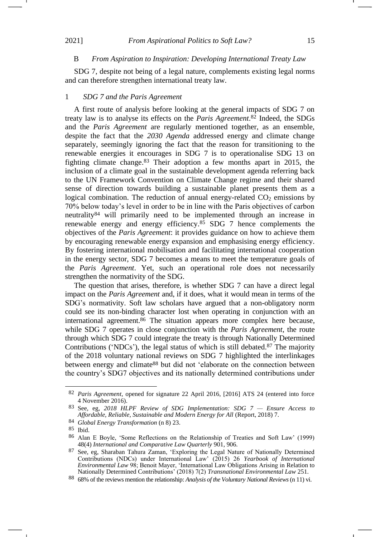#### B *From Aspiration to Inspiration: Developing International Treaty Law*

SDG 7, despite not being of a legal nature, complements existing legal norms and can therefore strengthen international treaty law.

#### 1 *SDG 7 and the Paris Agreement*

A first route of analysis before looking at the general impacts of SDG 7 on treaty law is to analyse its effects on the *Paris Agreement*. <sup>82</sup> Indeed, the SDGs and the *Paris Agreement* are regularly mentioned together, as an ensemble, despite the fact that the *2030 Agenda* addressed energy and climate change separately, seemingly ignoring the fact that the reason for transitioning to the renewable energies it encourages in SDG 7 is to operationalise SDG 13 on fighting climate change.<sup>83</sup> Their adoption a few months apart in 2015, the inclusion of a climate goal in the sustainable development agenda referring back to the UN Framework Convention on Climate Change regime and their shared sense of direction towards building a sustainable planet presents them as a logical combination. The reduction of annual energy-related  $CO<sub>2</sub>$  emissions by 70% below today's level in order to be in line with the Paris objectives of carbon neutrality<sup>84</sup> will primarily need to be implemented through an increase in renewable energy and energy efficiency.<sup>85</sup> SDG 7 hence complements the objectives of the *Paris Agreement*: it provides guidance on how to achieve them by encouraging renewable energy expansion and emphasising energy efficiency. By fostering international mobilisation and facilitating international cooperation in the energy sector, SDG 7 becomes a means to meet the temperature goals of the *Paris Agreement*. Yet, such an operational role does not necessarily strengthen the normativity of the SDG.

The question that arises, therefore, is whether SDG 7 can have a direct legal impact on the *Paris Agreement* and, if it does, what it would mean in terms of the SDG's normativity. Soft law scholars have argued that a non-obligatory norm could see its non-binding character lost when operating in conjunction with an international agreement.<sup>86</sup> The situation appears more complex here because, while SDG 7 operates in close conjunction with the *Paris Agreement*, the route through which SDG 7 could integrate the treaty is through Nationally Determined Contributions ('NDCs'), the legal status of which is still debated.<sup>87</sup> The majority of the 2018 voluntary national reviews on SDG 7 highlighted the interlinkages between energy and climate<sup>88</sup> but did not 'elaborate on the connection between the country's SDG7 objectives and its nationally determined contributions under

<sup>82</sup> *Paris Agreement*, opened for signature 22 April 2016, [2016] ATS 24 (entered into force 4 November 2016).

<sup>83</sup> See, eg, *2018 HLPF Review of SDG Implementation: SDG 7 — Ensure Access to Affordable, Reliable, Sustainable and Modern Energy for All* (Report, 2018) 7.

<sup>84</sup> *Global Energy Transformation* (n [8\)](#page-1-2) 23.

<sup>85</sup> Ibid.

<sup>86</sup> Alan E Boyle, 'Some Reflections on the Relationship of Treaties and Soft Law' (1999) 48(4) *International and Comparative Law Quarterly* 901, 906.

<sup>87</sup> See, eg, Sharaban Tahura Zaman, 'Exploring the Legal Nature of Nationally Determined Contributions (NDCs) under International Law' (2015) 26 *Yearbook of International Environmental Law* 98; Benoit Mayer, 'International Law Obligations Arising in Relation to Nationally Determined Contributions' (2018) 7(2) *Transnational Environmental Law* 251.

<sup>88</sup> 68% of the reviews mention the relationship: *Analysis of the Voluntary National Reviews* (n [11\)](#page-2-1) vi.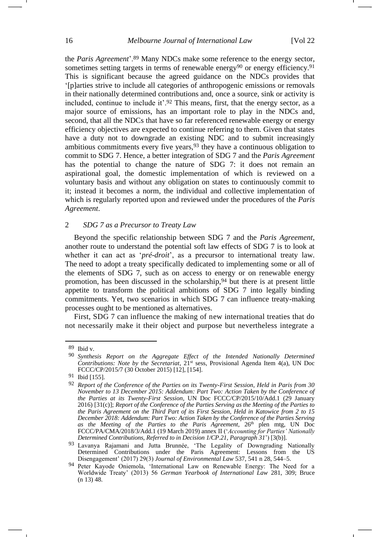the *Paris Agreement*'.<sup>89</sup> Many NDCs make some reference to the energy sector, sometimes setting targets in terms of renewable energy<sup>90</sup> or energy efficiency.<sup>91</sup> This is significant because the agreed guidance on the NDCs provides that '[p]arties strive to include all categories of anthropogenic emissions or removals in their nationally determined contributions and, once a source, sink or activity is included, continue to include it'.<sup>92</sup> This means, first, that the energy sector, as a major source of emissions, has an important role to play in the NDCs and, second, that all the NDCs that have so far referenced renewable energy or energy efficiency objectives are expected to continue referring to them. Given that states have a duty not to downgrade an existing NDC and to submit increasingly ambitious commitments every five years,<sup>93</sup> they have a continuous obligation to commit to SDG 7. Hence, a better integration of SDG 7 and the *Paris Agreement* has the potential to change the nature of SDG 7: it does not remain an aspirational goal, the domestic implementation of which is reviewed on a voluntary basis and without any obligation on states to continuously commit to it; instead it becomes a norm, the individual and collective implementation of which is regularly reported upon and reviewed under the procedures of the *Paris Agreement*.

#### 2 *SDG 7 as a Precursor to Treaty Law*

Beyond the specific relationship between SDG 7 and the *Paris Agreement*, another route to understand the potential soft law effects of SDG 7 is to look at whether it can act as '*pré-droit*', as a precursor to international treaty law. The need to adopt a treaty specifically dedicated to implementing some or all of the elements of SDG 7, such as on access to energy or on renewable energy promotion, has been discussed in the scholarship,  $94$  but there is at present little appetite to transform the political ambitions of SDG 7 into legally binding commitments. Yet, two scenarios in which SDG 7 can influence treaty-making processes ought to be mentioned as alternatives.

First, SDG 7 can influence the making of new international treaties that do not necessarily make it their object and purpose but nevertheless integrate a

<sup>89</sup> Ibid v.

<sup>90</sup> *Synthesis Report on the Aggregate Effect of the Intended Nationally Determined Contributions: Note by the Secretariat*,  $21<sup>st</sup>$  sess, Provisional Agenda Item 4(a), UN Doc FCCC/CP/2015/7 (30 October 2015) [12], [154].

<sup>91</sup> Ibid [155].

<sup>92</sup> *Report of the Conference of the Parties on its Twenty-First Session, Held in Paris from 30 November to 13 December 2015: Addendum: Part Two: Action Taken by the Conference of the Parties at its Twenty-First Session*, UN Doc FCCC/CP/2015/10/Add.1 (29 January 2016) [31(c)]; *Report of the Conference of the Parties Serving as the Meeting of the Parties to the Paris Agreement on the Third Part of its First Session, Held in Katowice from 2 to 15 December 2018: Addendum: Part Two: Action Taken by the Conference of the Parties Serving*  as the Meeting of the Parties to the Paris Agreement, 26<sup>th</sup> plen mtg, UN Doc FCCC/PA/CMA/2018/3/Add.1 (19 March 2019) annex II ('*Accounting for Parties' Nationally Determined Contributions, Referred to in Decision 1/CP.21, Paragraph 31*') [3(b)].

<sup>93</sup> Lavanya Rajamani and Jutta Brunnée, 'The Legality of Downgrading Nationally Determined Contributions under the Paris Agreement: Lessons from the US Disengagement' (2017) 29(3) *Journal of Environmental Law* 537, 541 n 28, 544–5.

<sup>94</sup> Peter Kayode Oniemola, 'International Law on Renewable Energy: The Need for a Worldwide Treaty' (2013) 56 *German Yearbook of International Law* 281, 309; Bruce (n [13\)](#page-2-2) 48.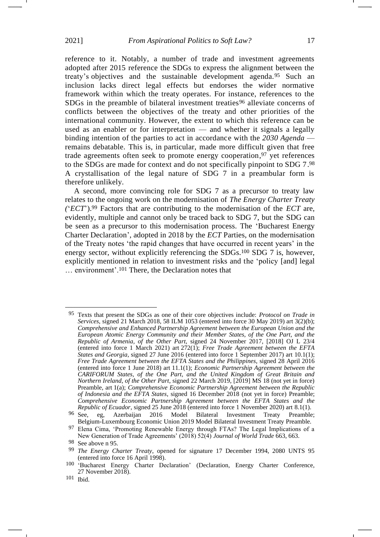reference to it. Notably, a number of trade and investment agreements adopted after 2015 reference the SDGs to express the alignment between the treaty's objectives and the sustainable development agenda.<sup>95</sup> Such an inclusion lacks direct legal effects but endorses the wider normative framework within which the treaty operates. For instance, references to the SDGs in the preamble of bilateral investment treaties<sup>96</sup> alleviate concerns of conflicts between the objectives of the treaty and other priorities of the international community. However, the extent to which this reference can be used as an enabler or for interpretation — and whether it signals a legally binding intention of the parties to act in accordance with the *2030 Agenda* remains debatable. This is, in particular, made more difficult given that free trade agreements often seek to promote energy cooperation, <sup>97</sup> yet references to the SDGs are made for context and do not specifically pinpoint to SDG 7. 98 A crystallisation of the legal nature of SDG 7 in a preambular form is therefore unlikely.

A second, more convincing role for SDG 7 as a precursor to treaty law relates to the ongoing work on the modernisation of *The Energy Charter Treaty (*'*ECT*').<sup>99</sup> Factors that are contributing to the modernisation of the *ECT* are, evidently, multiple and cannot only be traced back to SDG 7, but the SDG can be seen as a precursor to this modernisation process. The 'Bucharest Energy Charter Declaration', adopted in 2018 by the *ECT* Parties, on the modernisation of the Treaty notes 'the rapid changes that have occurred in recent years' in the energy sector, without explicitly referencing the SDGs.<sup>100</sup> SDG 7 is, however, explicitly mentioned in relation to investment risks and the 'policy [and] legal … environment'.<sup>101</sup> There, the Declaration notes that

<sup>95</sup> Texts that present the SDGs as one of their core objectives include: *Protocol on Trade in Services*, signed 21 March 2018, 58 ILM 1053 (entered into force 30 May 2019) art 3(2)(b); *Comprehensive and Enhanced Partnership Agreement between the European Union and the European Atomic Energy Community and their Member States, of the One Part, and the Republic of Armenia, of the Other Part*, signed 24 November 2017, [2018] OJ L 23/4 (entered into force 1 March 2021) art 272(1); *Free Trade Agreement between the EFTA States and Georgia*, signed 27 June 2016 (entered into force 1 September 2017) art 10.1(1); *Free Trade Agreement between the EFTA States and the Philippines*, signed 28 April 2016 (entered into force 1 June 2018) art 11.1(1); *Economic Partnership Agreement between the CARIFORUM States, of the One Part, and the United Kingdom of Great Britain and Northern Ireland, of the Other Part*, signed 22 March 2019, [2019] MS 18 (not yet in force) Preamble, art 1(a); *Comprehensive Economic Partnership Agreement between the Republic of Indonesia and the EFTA States*, signed 16 December 2018 (not yet in force) Preamble; *Comprehensive Economic Partnership Agreement between the EFTA States and the Republic of Ecuador*, signed 25 June 2018 (entered into force 1 November 2020) art 8.1(1).

<sup>96</sup> See, eg, Azerbaijan 2016 Model Bilateral Investment Treaty Preamble; Belgium-Luxembourg Economic Union 2019 Model Bilateral Investment Treaty Preamble.

<sup>97</sup> Elena Cima, 'Promoting Renewable Energy through FTAs? The Legal Implications of a New Generation of Trade Agreements' (2018) 52(4) *Journal of World Trade* 663, 663.

<sup>&</sup>lt;sup>98</sup> See above n 95.<br><sup>99</sup> The Freew Cl

<sup>99</sup> *The Energy Charter Treaty*, opened for signature 17 December 1994, 2080 UNTS 95 (entered into force 16 April 1998).

<sup>100</sup> 'Bucharest Energy Charter Declaration' (Declaration, Energy Charter Conference, 27 November 2018).

<sup>101</sup> Ibid.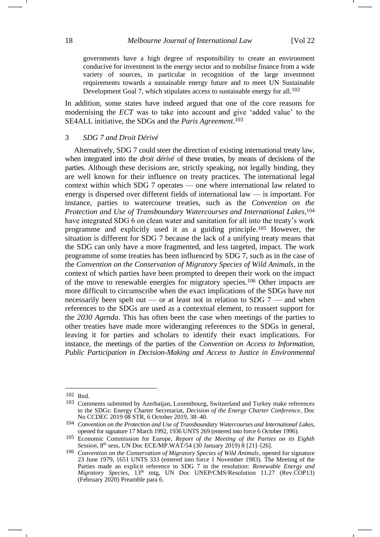governments have a high degree of responsibility to create an environment conducive for investment in the energy sector and to mobilise finance from a wide variety of sources, in particular in recognition of the large investment requirements towards a sustainable energy future and to meet UN Sustainable Development Goal 7, which stipulates access to sustainable energy for all.<sup>102</sup>

In addition, some states have indeed argued that one of the core reasons for modernising the *ECT* was to take into account and give 'added value' to the SE4ALL initiative, the SDGs and the *Paris Agreement*. 103

#### 3 *SDG 7 and Droit Dérivé*

Alternatively, SDG 7 could steer the direction of existing international treaty law, when integrated into the *droit dérivé* of these treaties, by means of decisions of the parties. Although these decisions are, strictly speaking, not legally binding, they are well known for their influence on treaty practices. The international legal context within which SDG 7 operates — one where international law related to energy is dispersed over different fields of international law — is important. For instance, parties to watercourse treaties, such as the *Convention on the Protection and Use of Transboundary Watercourses and International Lakes*, 104 have integrated SDG 6 on clean water and sanitation for all into the treaty's work programme and explicitly used it as a guiding principle.<sup>105</sup> However, the situation is different for SDG 7 because the lack of a unifying treaty means that the SDG can only have a more fragmented, and less targeted, impact. The work programme of some treaties has been influenced by SDG 7, such as in the case of the *Convention on the Conservation of Migratory Species of Wild Animals*, in the context of which parties have been prompted to deepen their work on the impact of the move to renewable energies for migratory species.<sup>106</sup> Other impacts are more difficult to circumscribe when the exact implications of the SDGs have not necessarily been spelt out — or at least not in relation to SDG 7 — and when references to the SDGs are used as a contextual element, to reassert support for the *2030 Agenda*. This has often been the case when meetings of the parties to other treaties have made more wideranging references to the SDGs in general, leaving it for parties and scholars to identify their exact implications. For instance, the meetings of the parties of the *Convention on Access to Information, Public Participation in Decision-Making and Access to Justice in Environmental* 

<sup>102</sup> Ibid.

<sup>103</sup> Comments submitted by Azerbaijan, Luxembourg, Switzerland and Turkey make references to the SDGs: Energy Charter Secretariat, *Decision of the Energy Charter Conference*, Doc No CCDEC 2019 08 STR, 6 October 2019, 38–40.

<sup>104</sup> *Convention on the Protection and Use of Transboundary Watercourses and International Lakes*, opened for signature 17 March 1992, 1936 UNTS 269 (entered into force 6 October 1996).

<sup>105</sup> Economic Commission for Europe, *Report of the Meeting of the Parties on its Eighth Session*, 8<sup>th</sup> sess, UN Doc ECE/MP.WAT/54 (30 January 2019) 8 [21]-[26].

<sup>106</sup> *Convention on the Conservation of Migratory Species of Wild Animals*, opened for signature 23 June 1979, 1651 UNTS 333 (entered into force 1 November 1983). The Meeting of the Parties made an explicit reference to SDG 7 in the resolution: *Renewable Energy and Migratory Species*,  $13<sup>th</sup>$  mtg, UN Doc UNEP/CMS/Resolution 11.27 (Rev.COP13) (February 2020) Preamble para 6.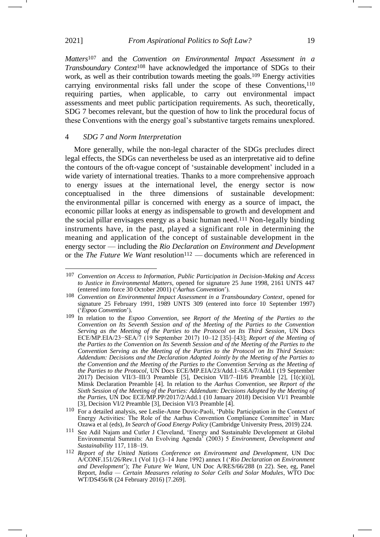*Matters*<sup>107</sup> and the *Convention on Environmental Impact Assessment in a Transboundary Context*<sup>108</sup> have acknowledged the importance of SDGs to their work, as well as their contribution towards meeting the goals.<sup>109</sup> Energy activities carrying environmental risks fall under the scope of these Conventions,<sup>110</sup> requiring parties, when applicable, to carry out environmental impact assessments and meet public participation requirements. As such, theoretically, SDG 7 becomes relevant, but the question of how to link the procedural focus of these Conventions with the energy goal's substantive targets remains unexplored.

# 4 *SDG 7 and Norm Interpretation*

More generally, while the non-legal character of the SDGs precludes direct legal effects, the SDGs can nevertheless be used as an interpretative aid to define the contours of the oft-vague concept of 'sustainable development' included in a wide variety of international treaties. Thanks to a more comprehensive approach to energy issues at the international level, the energy sector is now conceptualised in the three dimensions of sustainable development: the environmental pillar is concerned with energy as a source of impact, the economic pillar looks at energy as indispensable to growth and development and the social pillar envisages energy as a basic human need.<sup>111</sup> Non-legally binding instruments have, in the past, played a significant role in determining the meaning and application of the concept of sustainable development in the energy sector — including the *Rio Declaration on Environment and Development* or the *The Future We Want* resolution<sup>112</sup> — documents which are referenced in

<sup>107</sup> *Convention on Access to Information, Public Participation in Decision-Making and Access to Justice in Environmental Matters*, opened for signature 25 June 1998, 2161 UNTS 447 (entered into force 30 October 2001) ('*Aarhus Convention*').

<sup>108</sup> *Convention on Environmental Impact Assessment in a Transboundary Context*, opened for signature 25 February 1991, 1989 UNTS 309 (entered into force 10 September 1997) ('*Espoo Convention*').

<sup>109</sup> In relation to the *Espoo Convention*, see *Report of the Meeting of the Parties to the Convention on Its Seventh Session and of the Meeting of the Parties to the Convention Serving as the Meeting of the Parties to the Protocol on Its Third Session*, UN Docs ECE/MP.EIA/23−SEA/7 (19 September 2017) 10–12 [35]–[43]; *Report of the Meeting of the Parties to the Convention on Its Seventh Session and of the Meeting of the Parties to the Convention Serving as the Meeting of the Parties to the Protocol on Its Third Session: Addendum: Decisions and the Declaration Adopted Jointly by the Meeting of the Parties to the Convention and the Meeting of the Parties to the Convention Serving as the Meeting of the Parties to the Protocol*, UN Docs ECE/MP.EIA/23/Add.1–SEA/7/Add.1 (19 September 2017) Decision VII/3–III/3 Preamble [5], Decision VII/7–III/6 Preamble [2], [1(c)(ii)], Minsk Declaration Preamble [4]. In relation to the *Aarhus Convention*, see *Report of the*  Sixth Session of the Meeting of the Parties: Addendum: Decisions Adopted by the Meeting of *the Parties*, UN Doc ECE/MP.PP/2017/2/Add.1 (10 January 2018) Decision VI/1 Preamble [3], Decision VI/2 Preamble [3], Decision VI/3 Preamble [4].

<sup>110</sup> For a detailed analysis, see Leslie-Anne Duvic-Paoli, 'Public Participation in the Context of Energy Activities: The Role of the Aarhus Convention Compliance Committee' in Marc Ozawa et al (eds), *In Search of Good Energy Policy* (Cambridge University Press, 2019) 224.

<sup>111</sup> See Adil Najam and Cutler J Cleveland, 'Energy and Sustainable Development at Global Environmental Summits: An Evolving Agenda' (2003) 5 *Environment, Development and Sustainability* 117, 118–19.

<sup>112</sup> *Report of the United Nations Conference on Environment and Development*, UN Doc A/CONF.151/26/Rev.1 (Vol 1) (3–14 June 1992) annex I ('*Rio Declaration on Environment and Development*'); *The Future We Want*, UN Doc A/RES/66/288 (n [22\)](#page-4-2). See, eg, Panel Report, *India — Certain Measures relating to Solar Cells and Solar Modules*, WTO Doc WT/DS456/R (24 February 2016) [7.269].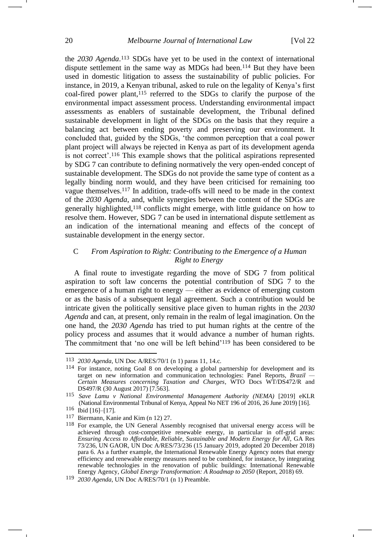the *2030 Agenda*. <sup>113</sup> SDGs have yet to be used in the context of international dispute settlement in the same way as MDGs had been.<sup>114</sup> But they have been used in domestic litigation to assess the sustainability of public policies. For instance, in 2019, a Kenyan tribunal, asked to rule on the legality of Kenya's first coal-fired power plant, <sup>115</sup> referred to the SDGs to clarify the purpose of the environmental impact assessment process. Understanding environmental impact assessments as enablers of sustainable development, the Tribunal defined sustainable development in light of the SDGs on the basis that they require a balancing act between ending poverty and preserving our environment. It concluded that, guided by the SDGs, 'the common perception that a coal power plant project will always be rejected in Kenya as part of its development agenda is not correct'.<sup>116</sup> This example shows that the political aspirations represented by SDG 7 can contribute to defining normatively the very open-ended concept of sustainable development. The SDGs do not provide the same type of content as a legally binding norm would, and they have been criticised for remaining too vague themselves.<sup>117</sup> In addition, trade-offs will need to be made in the context of the *2030 Agenda*, and, while synergies between the content of the SDGs are generally highlighted, <sup>118</sup> conflicts might emerge, with little guidance on how to resolve them. However, SDG 7 can be used in international dispute settlement as an indication of the international meaning and effects of the concept of sustainable development in the energy sector.

# C *From Aspiration to Right: Contributing to the Emergence of a Human Right to Energy*

A final route to investigate regarding the move of SDG 7 from political aspiration to soft law concerns the potential contribution of SDG 7 to the emergence of a human right to energy — either as evidence of emerging custom or as the basis of a subsequent legal agreement. Such a contribution would be intricate given the politically sensitive place given to human rights in the *2030 Agenda* and can, at present, only remain in the realm of legal imagination. On the one hand, the *2030 Agenda* has tried to put human rights at the centre of the policy process and assumes that it would advance a number of human rights. The commitment that 'no one will be left behind'<sup>119</sup> has been considered to be

<sup>113</sup> *2030 Agenda*, UN Doc A/RES/70/1 (n [1\)](#page-1-0) paras 11, 14.c.

<sup>114</sup> For instance, noting Goal 8 on developing a global partnership for development and its target on new information and communication technologies: Panel Reports, *Brazil — Certain Measures concerning Taxation and Charges*, WTO Docs WT/DS472/R and DS497/R (30 August 2017) [7.563].

<sup>115</sup> *Save Lamu v National Environmental Management Authority (NEMA)* [2019] eKLR (National Environmental Tribunal of Kenya, Appeal No NET 196 of 2016, 26 June 2019) [16].

<sup>116</sup> Ibid [16]–[17].

<sup>117</sup> Biermann, Kanie and Kim (n [12\)](#page-2-0) 27.

<sup>118</sup> For example, the UN General Assembly recognised that universal energy access will be achieved through cost-competitive renewable energy, in particular in off-grid areas: *Ensuring Access to Affordable, Reliable, Sustainable and Modern Energy for All*, GA Res 73/236, UN GAOR, UN Doc A/RES/73/236 (15 January 2019, adopted 20 December 2018) para 6. As a further example, the International Renewable Energy Agency notes that energy efficiency and renewable energy measures need to be combined, for instance, by integrating renewable technologies in the renovation of public buildings: International Renewable Energy Agency, *Global Energy Transformation: A Roadmap to 2050* (Report, 2018) 69.

<sup>119</sup> *2030 Agenda*, UN Doc A/RES/70/1 (n [1\)](#page-1-0) Preamble.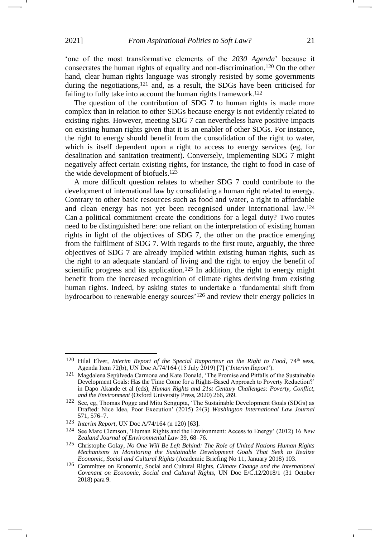<span id="page-20-0"></span>'one of the most transformative elements of the *2030 Agenda*' because it consecrates the human rights of equality and non-discrimination.<sup>120</sup> On the other hand, clear human rights language was strongly resisted by some governments during the negotiations,<sup>121</sup> and, as a result, the SDGs have been criticised for failing to fully take into account the human rights framework.<sup>122</sup>

The question of the contribution of SDG 7 to human rights is made more complex than in relation to other SDGs because energy is not evidently related to existing rights. However, meeting SDG 7 can nevertheless have positive impacts on existing human rights given that it is an enabler of other SDGs. For instance, the right to energy should benefit from the consolidation of the right to water, which is itself dependent upon a right to access to energy services (eg, for desalination and sanitation treatment). Conversely, implementing SDG 7 might negatively affect certain existing rights, for instance, the right to food in case of the wide development of biofuels.<sup>123</sup>

A more difficult question relates to whether SDG 7 could contribute to the development of international law by consolidating a human right related to energy. Contrary to other basic resources such as food and water, a right to affordable and clean energy has not yet been recognised under international law.<sup>124</sup> Can a political commitment create the conditions for a legal duty? Two routes need to be distinguished here: one reliant on the interpretation of existing human rights in light of the objectives of SDG 7, the other on the practice emerging from the fulfilment of SDG 7. With regards to the first route, arguably, the three objectives of SDG 7 are already implied within existing human rights, such as the right to an adequate standard of living and the right to enjoy the benefit of scientific progress and its application.<sup>125</sup> In addition, the right to energy might benefit from the increased recognition of climate rights deriving from existing human rights. Indeed, by asking states to undertake a 'fundamental shift from hydrocarbon to renewable energy sources'<sup>126</sup> and review their energy policies in

<sup>&</sup>lt;sup>120</sup> Hilal Elver, *Interim Report of the Special Rapporteur on the Right to Food*, 74<sup>th</sup> sess, Agenda Item 72(b), UN Doc A/74/164 (15 July 2019) [7] ('*Interim Report*').

<sup>121</sup> Magdalena Sepúlveda Carmona and Kate Donald, 'The Promise and Pitfalls of the Sustainable Development Goals: Has the Time Come for a Rights-Based Approach to Poverty Reduction?' in Dapo Akande et al (eds), *Human Rights and 21st Century Challenges: Poverty, Conflict, and the Environment* (Oxford University Press, 2020) 266, 269.

<sup>122</sup> See, eg, Thomas Pogge and Mitu Sengupta, 'The Sustainable Development Goals (SDGs) as Drafted: Nice Idea, Poor Execution' (2015) 24(3) *Washington International Law Journal* 571, 576–7.

<sup>123</sup> *Interim Report*, UN Doc A/74/164 (n [120\)](#page-20-0) [63].

<sup>124</sup> See Marc Clemson, 'Human Rights and the Environment: Access to Energy' (2012) 16 *New Zealand Journal of Environmental Law* 39, 68–76.

<sup>125</sup> Christophe Golay, *No One Will Be Left Behind: The Role of United Nations Human Rights Mechanisms in Monitoring the Sustainable Development Goals That Seek to Realize Economic, Social and Cultural Rights* (Academic Briefing No 11, January 2018) 103.

<sup>126</sup> Committee on Economic, Social and Cultural Rights, *Climate Change and the International Covenant on Economic, Social and Cultural Rights*, UN Doc E/C.12/2018/1 (31 October 2018) para 9.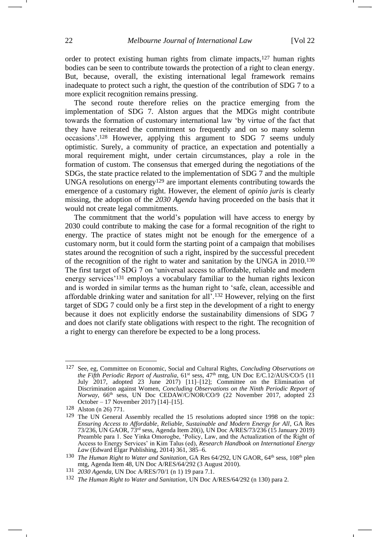order to protect existing human rights from climate impacts,<sup>127</sup> human rights bodies can be seen to contribute towards the protection of a right to clean energy. But, because, overall, the existing international legal framework remains inadequate to protect such a right, the question of the contribution of SDG 7 to a more explicit recognition remains pressing.

The second route therefore relies on the practice emerging from the implementation of SDG 7. Alston argues that the MDGs might contribute towards the formation of customary international law 'by virtue of the fact that they have reiterated the commitment so frequently and on so many solemn occasions'.<sup>128</sup> However, applying this argument to SDG 7 seems unduly optimistic. Surely, a community of practice, an expectation and potentially a moral requirement might, under certain circumstances, play a role in the formation of custom. The consensus that emerged during the negotiations of the SDGs, the state practice related to the implementation of SDG 7 and the multiple UNGA resolutions on energy<sup>129</sup> are important elements contributing towards the emergence of a customary right. However, the element of *opinio juris* is clearly missing, the adoption of the *2030 Agenda* having proceeded on the basis that it would not create legal commitments.

<span id="page-21-0"></span>The commitment that the world's population will have access to energy by 2030 could contribute to making the case for a formal recognition of the right to energy. The practice of states might not be enough for the emergence of a customary norm, but it could form the starting point of a campaign that mobilises states around the recognition of such a right, inspired by the successful precedent of the recognition of the right to water and sanitation by the UNGA in 2010.<sup>130</sup> The first target of SDG 7 on 'universal access to affordable, reliable and modern energy services'<sup>131</sup> employs a vocabulary familiar to the human rights lexicon and is worded in similar terms as the human right to 'safe, clean, accessible and affordable drinking water and sanitation for all'.<sup>132</sup> However, relying on the first target of SDG 7 could only be a first step in the development of a right to energy because it does not explicitly endorse the sustainability dimensions of SDG 7 and does not clarify state obligations with respect to the right. The recognition of a right to energy can therefore be expected to be a long process.

<sup>127</sup> See, eg, Committee on Economic, Social and Cultural Rights, *Concluding Observations on the Fifth Periodic Report of Australia*, 61<sup>st</sup> sess, 47<sup>th</sup> mtg, UN Doc E/C.12/AUS/CO/5 (11 July 2017, adopted 23 June 2017) [11]–[12]; Committee on the Elimination of Discrimination against Women, *Concluding Observations on the Ninth Periodic Report of Norway*, 66th sess, UN Doc CEDAW/C/NOR/CO/9 (22 November 2017, adopted 23 October – 17 November 2017) [14]–[15].

<sup>128</sup> Alston (n [26\)](#page-5-1) 771.

<sup>129</sup> The UN General Assembly recalled the 15 resolutions adopted since 1998 on the topic: *Ensuring Access to Affordable, Reliable, Sustainable and Modern Energy for All*, GA Res 73/236, UN GAOR, 73rd sess, Agenda Item 20(i), UN Doc A/RES/73/236 (15 January 2019) Preamble para 1. See Yinka Omorogbe, 'Policy, Law, and the Actualization of the Right of Access to Energy Services' in Kim Talus (ed), *Research Handbook on International Energy Law* (Edward Elgar Publishing, 2014) 361, 385–6.

<sup>&</sup>lt;sup>130</sup> *The Human Right to Water and Sanitation*, GA Res 64/292, UN GAOR, 64<sup>th</sup> sess, 108<sup>th</sup> plen mtg, Agenda Item 48, UN Doc A/RES/64/292 (3 August 2010).

<sup>131</sup> *2030 Agenda*, UN Doc A/RES/70/1 (n [1\)](#page-1-0) 19 para 7.1.

<sup>132</sup> *The Human Right to Water and Sanitation*, UN Doc A/RES/64/292 ([n 130\)](#page-21-0) para 2.